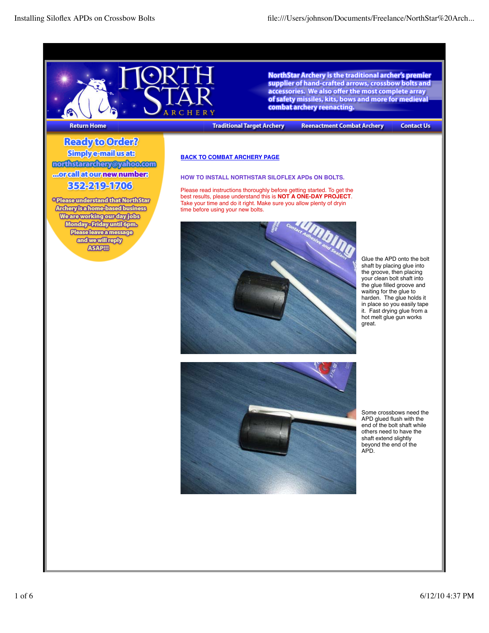

**NorthStar Archery is the traditional archer's premier** supplier of hand-crafted arrows, crossbow bolts and accessories. We also offer the most complete array of safety missiles, kits, bows and more for medieval combat archery reenacting.

**Return Home** 

**Traditional Target Archery** 

**Reenactment Combat Archery** 

**Contact Us** 

Ready to Order? **Simplye-mail usats** northstararchery@yahoo.com ...orcallatournewnumber: 352-219-1703

\* Please understand that North Star Archery is a home-based business We are working our day jobs Monday - Friday until 6pm. Please leave a message and we will reply **ASAPIII** 

# **BACK TO COMBAT ARCHERY PAGE**

## **HOW TO INSTALL NORTHSTAR SILOFLEX APDs ON BOLTS.**

Please read instructions thoroughly before getting started. To get the best results, please understand this is **NOT A ONE-DAY PROJECT**. Take your time and do it right. Make sure you allow plenty of dryin time before using your new bolts.



Glue the APD onto the bolt shaft by placing glue into the groove, then placing your clean bolt shaft into the glue filled groove and waiting for the glue to harden. The glue holds it in place so you easily tape it. Fast drying glue from a hot melt glue gun works great.



Some crossbows need the APD glued flush with the end of the bolt shaft while others need to have the shaft extend slightly beyond the end of the APD.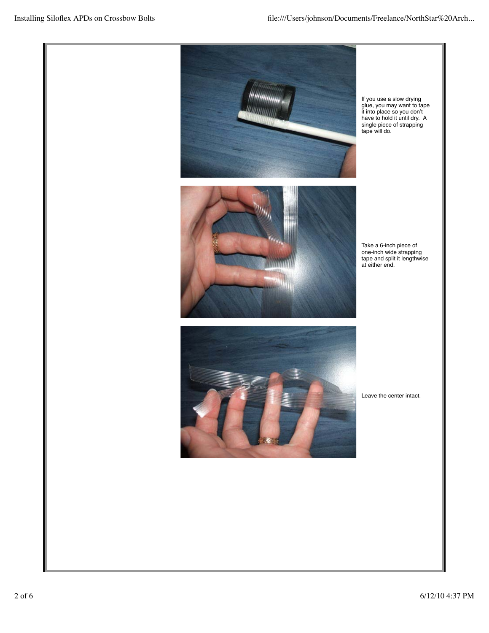

If you use a slow drying glue, you may want to tape it into place so you don't have to hold it until dry. A single piece of strapping tape will do.



Take a 6-inch piece of one-inch wide strapping tape and split it lengthwise at either end.



Leave the center intact.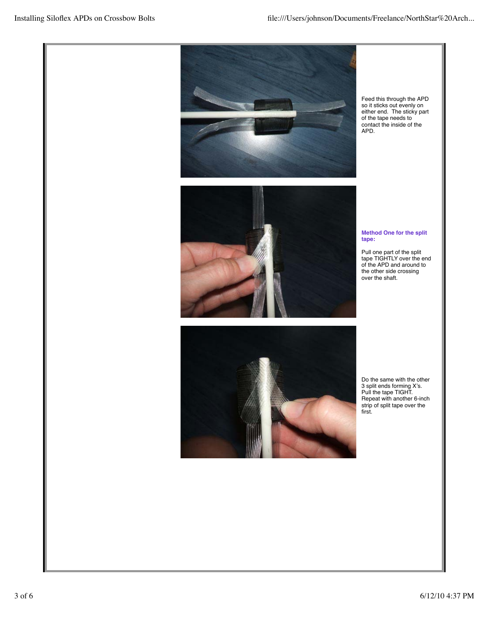

Feed this through the APD so it sticks out evenly on either end. The sticky part of the tape needs to contact the inside of the APD.





Pull one part of the split tape TIGHTLY over the end of the APD and around to the other side crossing over the shaft.



Do the same with the other 3 split ends forming X 's. Pull the tape TIGHT. Repeat with another 6-inch strip of split tape over the first.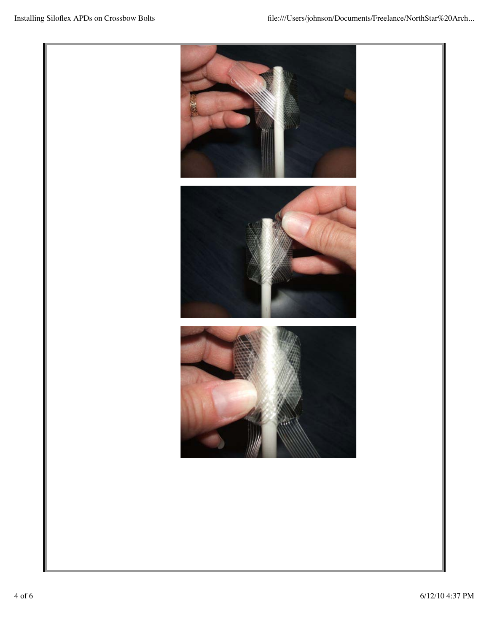



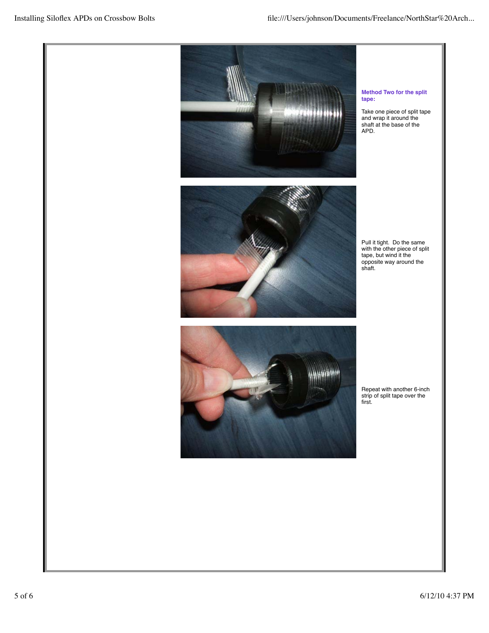



Pull it tight. Do the same with the other piece of split tape, but wind it the opposite way around the shaft.



Repeat with another 6-inch strip of split tape over the first.

### **Method Two for the split tape:**

Take one piece of split tape and wrap it around the shaft at the base of the APD.